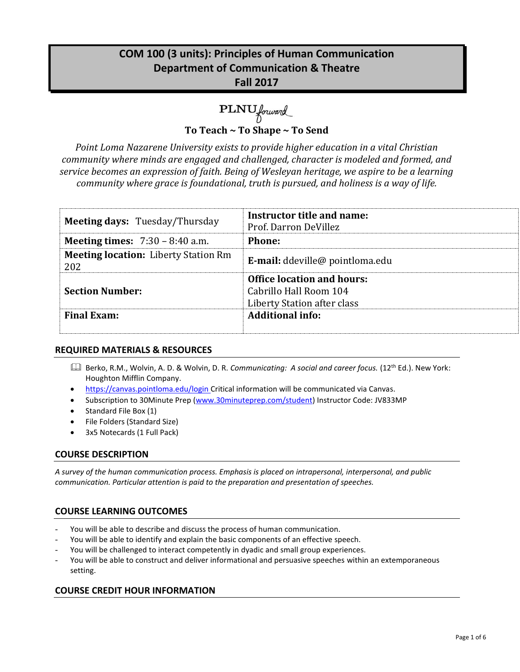## **COM 100 (3 units): Principles of Human Communication Department of Communication & Theatre Fall 2017**

# PLNU forward

**To Teach ~ To Shape ~ To Send**

*Point Loma Nazarene University exists to provide higher education in a vital Christian community where minds are engaged and challenged, character is modeled and formed, and service becomes an expression of faith. Being of Wesleyan heritage, we aspire to be a learning community where grace is foundational, truth is pursued, and holiness is a way of life.*

| <b>Meeting days: Tuesday/Thursday</b>              | Instructor title and name:<br>Prof. Darron DeVillez                                        |
|----------------------------------------------------|--------------------------------------------------------------------------------------------|
| <b>Meeting times:</b> $7:30 - 8:40$ a.m.           | <b>Phone:</b>                                                                              |
| <b>Meeting location:</b> Liberty Station Rm<br>202 | <b>E-mail:</b> ddeville@ pointloma.edu                                                     |
| <b>Section Number:</b>                             | <b>Office location and hours:</b><br>Cabrillo Hall Room 104<br>Liberty Station after class |
| <b>Final Exam:</b>                                 | <b>Additional info:</b>                                                                    |

## **REQUIRED MATERIALS & RESOURCES**

- Berko, R.M., Wolvin, A. D. & Wolvin, D. R. *Communicating: A social and career focus.* (12th Ed.). New York: Houghton Mifflin Company.
- https://canvas.pointloma.edu/login Critical information will be communicated via Canvas.
- Subscription to 30Minute Prep [\(www.30minuteprep.com/student\)](http://www.30minuteprep.com/student) Instructor Code: JV833MP
- Standard File Box (1)
- File Folders (Standard Size)
- 3x5 Notecards (1 Full Pack)

## **COURSE DESCRIPTION**

*A survey of the human communication process. Emphasis is placed on intrapersonal, interpersonal, and public communication. Particular attention is paid to the preparation and presentation of speeches.*

## **COURSE LEARNING OUTCOMES**

- You will be able to describe and discuss the process of human communication.
- You will be able to identify and explain the basic components of an effective speech.
- You will be challenged to interact competently in dyadic and small group experiences.
- You will be able to construct and deliver informational and persuasive speeches within an extemporaneous setting.

## **COURSE CREDIT HOUR INFORMATION**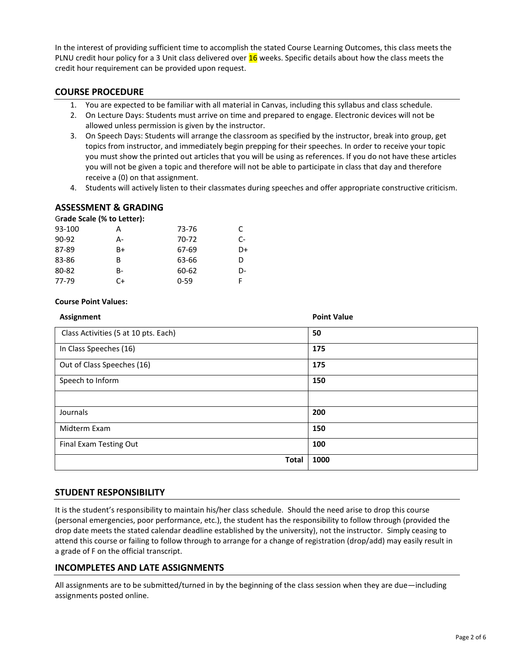In the interest of providing sufficient time to accomplish the stated Course Learning Outcomes, this class meets the PLNU credit hour policy for a 3 Unit class delivered over 16 weeks. Specific details about how the class meets the credit hour requirement can be provided upon request.

#### **COURSE PROCEDURE**

- 1. You are expected to be familiar with all material in Canvas, including this syllabus and class schedule.
- 2. On Lecture Days: Students must arrive on time and prepared to engage. Electronic devices will not be allowed unless permission is given by the instructor.
- 3. On Speech Days: Students will arrange the classroom as specified by the instructor, break into group, get topics from instructor, and immediately begin prepping for their speeches. In order to receive your topic you must show the printed out articles that you will be using as references. If you do not have these articles you will not be given a topic and therefore will not be able to participate in class that day and therefore receive a (0) on that assignment.
- 4. Students will actively listen to their classmates during speeches and offer appropriate constructive criticism.

## **ASSESSMENT & GRADING**

| Grade Scale (% to Letter): |    |          |    |
|----------------------------|----|----------|----|
| 93-100                     | А  | 73-76    | C. |
| 90-92                      | А- | 70-72    | C- |
| 87-89                      | B+ | 67-69    | D+ |
| 83-86                      | B  | 63-66    | D  |
| 80-82                      | R- | 60-62    | D- |
| 77-79                      | C+ | $0 - 59$ |    |

#### **Course Point Values:**

| <b>Assignment</b>                    | <b>Point Value</b> |
|--------------------------------------|--------------------|
| Class Activities (5 at 10 pts. Each) | 50                 |
| In Class Speeches (16)               | 175                |
| Out of Class Speeches (16)           | 175                |
| Speech to Inform                     | 150                |
|                                      |                    |
| Journals                             | 200                |
| Midterm Exam                         | 150                |
| Final Exam Testing Out               | 100                |
| <b>Total</b>                         | 1000               |

## **STUDENT RESPONSIBILITY**

It is the student's responsibility to maintain his/her class schedule. Should the need arise to drop this course (personal emergencies, poor performance, etc.), the student has the responsibility to follow through (provided the drop date meets the stated calendar deadline established by the university), not the instructor. Simply ceasing to attend this course or failing to follow through to arrange for a change of registration (drop/add) may easily result in a grade of F on the official transcript.

#### **INCOMPLETES AND LATE ASSIGNMENTS**

All assignments are to be submitted/turned in by the beginning of the class session when they are due—including assignments posted online.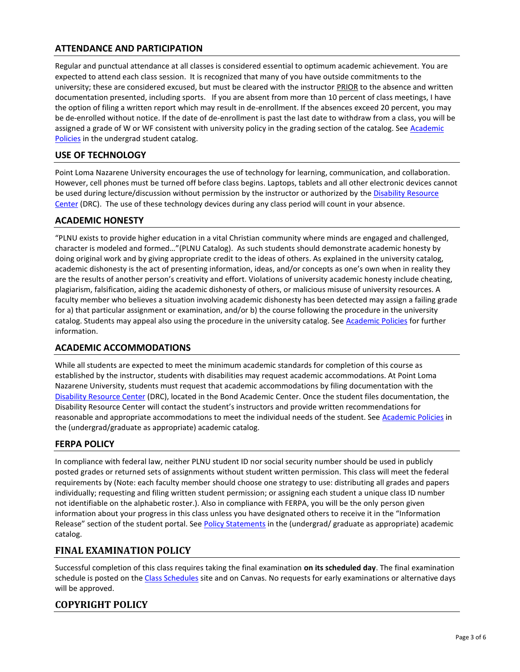## **ATTENDANCE AND PARTICIPATION**

Regular and punctual attendance at all classes is considered essential to optimum academic achievement. You are expected to attend each class session. It is recognized that many of you have outside commitments to the university; these are considered excused, but must be cleared with the instructor PRIOR to the absence and written documentation presented, including sports. If you are absent from more than 10 percent of class meetings, I have the option of filing a written report which may result in de-enrollment. If the absences exceed 20 percent, you may be de-enrolled without notice. If the date of de-enrollment is past the last date to withdraw from a class, you will be assigned a grade of W or WF consistent with university policy in the grading section of the catalog. See Academic [Policies](http://www.pointloma.edu/experience/academics/catalogs/undergraduate-catalog/point-loma-education/academic-policies) in the undergrad student catalog.

#### **USE OF TECHNOLOGY**

Point Loma Nazarene University encourages the use of technology for learning, communication, and collaboration. However, cell phones must be turned off before class begins. Laptops, tablets and all other electronic devices cannot be used during lecture/discussion without permission by the instructor or authorized by the Disability Resource [Center](http://www.pointloma.edu/experience/offices/administrative-offices/academic-advising-office/disability-resource-center) (DRC). The use of these technology devices during any class period will count in your absence.

#### **ACADEMIC HONESTY**

"PLNU exists to provide higher education in a vital Christian community where minds are engaged and challenged, character is modeled and formed…"(PLNU Catalog). As such students should demonstrate academic honesty by doing original work and by giving appropriate credit to the ideas of others. As explained in the university catalog, academic dishonesty is the act of presenting information, ideas, and/or concepts as one's own when in reality they are the results of another person's creativity and effort. Violations of university academic honesty include cheating, plagiarism, falsification, aiding the academic dishonesty of others, or malicious misuse of university resources. A faculty member who believes a situation involving academic dishonesty has been detected may assign a failing grade for a) that particular assignment or examination, and/or b) the course following the procedure in the university catalog. Students may appeal also using the procedure in the university catalog. Se[e Academic Policies](http://www.pointloma.edu/experience/academics/catalogs/undergraduate-catalog/point-loma-education/academic-policies) for further information.

## **ACADEMIC ACCOMMODATIONS**

While all students are expected to meet the minimum academic standards for completion of this course as established by the instructor, students with disabilities may request academic accommodations. At Point Loma Nazarene University, students must request that academic accommodations by filing documentation with the [Disability Resource Center](http://www.pointloma.edu/experience/offices/administrative-offices/academic-advising-office/disability-resource-center) (DRC), located in the Bond Academic Center. Once the student files documentation, the Disability Resource Center will contact the student's instructors and provide written recommendations for reasonable and appropriate accommodations to meet the individual needs of the student. See [Academic Policies](http://www.pointloma.edu/experience/academics/catalogs/undergraduate-catalog/point-loma-education/academic-policies) in the (undergrad/graduate as appropriate) academic catalog.

## **FERPA POLICY**

In compliance with federal law, neither PLNU student ID nor social security number should be used in publicly posted grades or returned sets of assignments without student written permission. This class will meet the federal requirements by (Note: each faculty member should choose one strategy to use: distributing all grades and papers individually; requesting and filing written student permission; or assigning each student a unique class ID number not identifiable on the alphabetic roster.). Also in compliance with FERPA, you will be the only person given information about your progress in this class unless you have designated others to receive it in the "Information Release" section of the student portal. See [Policy Statements](http://www.pointloma.edu/experience/academics/catalogs/undergraduate-catalog/policy-statements) in the (undergrad/ graduate as appropriate) academic catalog.

## **FINAL EXAMINATION POLICY**

Successful completion of this class requires taking the final examination **on its scheduled day**. The final examination schedule is posted on th[e Class Schedules](http://www.pointloma.edu/experience/academics/class-schedules) site and on Canvas. No requests for early examinations or alternative days will be approved.

## **COPYRIGHT POLICY**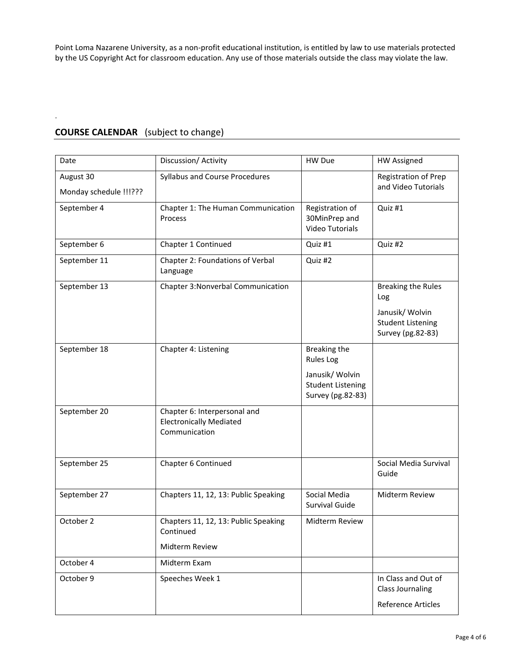Point Loma Nazarene University, as a non-profit educational institution, is entitled by law to use materials protected by the US Copyright Act for classroom education. Any use of those materials outside the class may violate the law.

## **COURSE CALENDAR** (subject to change)

.

| Date                                | Discussion/Activity                                                             | HW Due                                                           | <b>HW Assigned</b>                                               |
|-------------------------------------|---------------------------------------------------------------------------------|------------------------------------------------------------------|------------------------------------------------------------------|
| August 30<br>Monday schedule !!!??? | Syllabus and Course Procedures                                                  |                                                                  | Registration of Prep<br>and Video Tutorials                      |
| September 4                         | Chapter 1: The Human Communication<br>Process                                   | Registration of<br>30MinPrep and<br><b>Video Tutorials</b>       | Quiz #1                                                          |
| September 6                         | Chapter 1 Continued                                                             | Quiz #1                                                          | Quiz #2                                                          |
| September 11                        | Chapter 2: Foundations of Verbal<br>Language                                    | Quiz #2                                                          |                                                                  |
| September 13                        | Chapter 3: Nonverbal Communication                                              |                                                                  | <b>Breaking the Rules</b><br>Log                                 |
|                                     |                                                                                 |                                                                  | Janusik/ Wolvin<br><b>Student Listening</b><br>Survey (pg.82-83) |
| September 18                        | Chapter 4: Listening                                                            | <b>Breaking the</b><br><b>Rules Log</b>                          |                                                                  |
|                                     |                                                                                 | Janusik/ Wolvin<br><b>Student Listening</b><br>Survey (pg.82-83) |                                                                  |
| September 20                        | Chapter 6: Interpersonal and<br><b>Electronically Mediated</b><br>Communication |                                                                  |                                                                  |
| September 25                        | Chapter 6 Continued                                                             |                                                                  | Social Media Survival<br>Guide                                   |
| September 27                        | Chapters 11, 12, 13: Public Speaking                                            | Social Media<br>Survival Guide                                   | Midterm Review                                                   |
| October 2                           | Chapters 11, 12, 13: Public Speaking<br>Continued                               | Midterm Review                                                   |                                                                  |
|                                     | <b>Midterm Review</b>                                                           |                                                                  |                                                                  |
| October 4                           | Midterm Exam                                                                    |                                                                  |                                                                  |
| October 9                           | Speeches Week 1                                                                 |                                                                  | In Class and Out of<br><b>Class Journaling</b>                   |
|                                     |                                                                                 |                                                                  | Reference Articles                                               |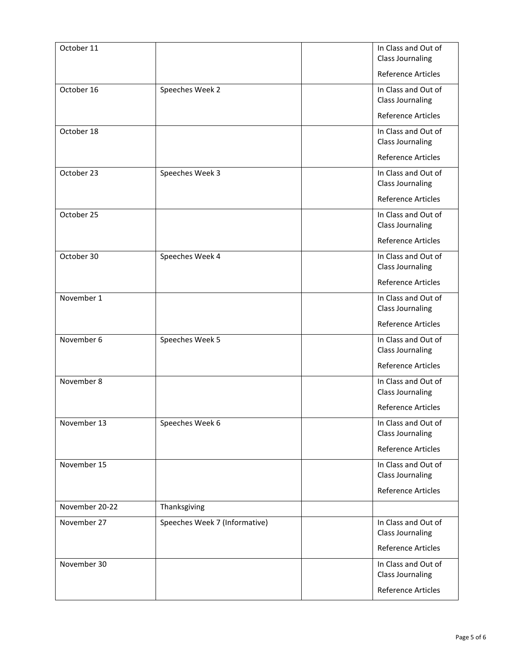| October 11     |                               | In Class and Out of<br><b>Class Journaling</b> |
|----------------|-------------------------------|------------------------------------------------|
|                |                               | <b>Reference Articles</b>                      |
| October 16     | Speeches Week 2               | In Class and Out of<br><b>Class Journaling</b> |
|                |                               | <b>Reference Articles</b>                      |
| October 18     |                               | In Class and Out of<br><b>Class Journaling</b> |
|                |                               | <b>Reference Articles</b>                      |
| October 23     | Speeches Week 3               | In Class and Out of<br><b>Class Journaling</b> |
|                |                               | <b>Reference Articles</b>                      |
| October 25     |                               | In Class and Out of<br><b>Class Journaling</b> |
|                |                               | <b>Reference Articles</b>                      |
| October 30     | Speeches Week 4               | In Class and Out of<br><b>Class Journaling</b> |
|                |                               | Reference Articles                             |
| November 1     |                               | In Class and Out of<br><b>Class Journaling</b> |
|                |                               | <b>Reference Articles</b>                      |
| November 6     | Speeches Week 5               | In Class and Out of<br><b>Class Journaling</b> |
|                |                               | <b>Reference Articles</b>                      |
| November 8     |                               | In Class and Out of<br><b>Class Journaling</b> |
|                |                               | <b>Reference Articles</b>                      |
| November 13    | Speeches Week 6               | In Class and Out of<br><b>Class Journaling</b> |
|                |                               | Reference Articles                             |
| November 15    |                               | In Class and Out of<br><b>Class Journaling</b> |
|                |                               | <b>Reference Articles</b>                      |
| November 20-22 | Thanksgiving                  |                                                |
| November 27    | Speeches Week 7 (Informative) | In Class and Out of<br><b>Class Journaling</b> |
|                |                               | <b>Reference Articles</b>                      |
| November 30    |                               | In Class and Out of<br><b>Class Journaling</b> |
|                |                               | <b>Reference Articles</b>                      |